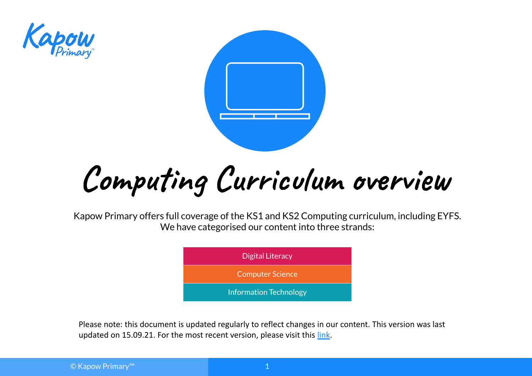



**Computing Curriculum overview**

Kapow Primary offers full coverage of the KS1 and KS2 Computing curriculum, including EYFS. We have categorised our content into three strands:



Please note: this document is updated regularly to reflect changes in our content. This version was last updated on 15.09.21. For the most recent version, please visit this [link](https://www.kapowprimary.com/featured_documents/computing-curriculum-overview-featured-document/).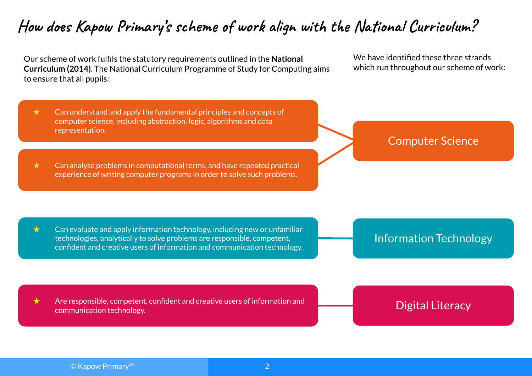# **How does Kapow Primary's scheme of work align with the National Curriculum?**

Our scheme of work fulfils the statutory requirements outlined in the **National Curriculum (2014)**. The National Curriculum Programme of Study for Computing aims to ensure that all pupils:

We have identified these three strands which run throughout our scheme of work:

 $\star$  Can understand and apply the fundamental principles and concepts of computer science, including abstraction, logic, algorithms and data representation.

 $\star$  Can analyse problems in computational terms, and have repeated practical experience of writing computer programs in order to solve such problems.

Computer Science

 $\star$  Can evaluate and apply information technology, including new or unfamiliar technologies, analytically to solve problems are responsible, competent, confident and creative users of information and communication technology.

Information Technology

 $\star$  Are responsible, competent, confident and creative users of information and communication technology.

Digital Literacy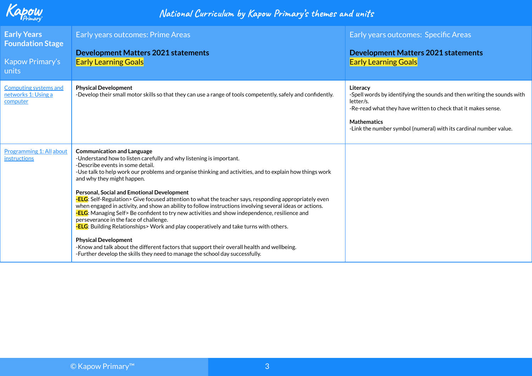

| <b>Early Years</b><br><b>Foundation Stage</b><br>Kapow Primary's<br>units | Early years outcomes: Prime Areas<br><b>Development Matters 2021 statements</b><br><b>Early Learning Goals</b>                                                                                                                                                                                                                                                                                                                                                                                                                                                                                                                                                                                                                                                                                                                                                                                                                                                                                                              | Early years outcomes: Specific Areas<br><b>Development Matters 2021 statements</b><br><b>Early Learning Goals</b>                                                                                                                                            |
|---------------------------------------------------------------------------|-----------------------------------------------------------------------------------------------------------------------------------------------------------------------------------------------------------------------------------------------------------------------------------------------------------------------------------------------------------------------------------------------------------------------------------------------------------------------------------------------------------------------------------------------------------------------------------------------------------------------------------------------------------------------------------------------------------------------------------------------------------------------------------------------------------------------------------------------------------------------------------------------------------------------------------------------------------------------------------------------------------------------------|--------------------------------------------------------------------------------------------------------------------------------------------------------------------------------------------------------------------------------------------------------------|
| Computing systems and<br>networks 1: Using a<br>computer                  | <b>Physical Development</b><br>-Develop their small motor skills so that they can use a range of tools competently, safely and confidently.                                                                                                                                                                                                                                                                                                                                                                                                                                                                                                                                                                                                                                                                                                                                                                                                                                                                                 | Literacy<br>-Spell words by identifying the sounds and then writing the sounds with<br>letter/s.<br>-Re-read what they have written to check that it makes sense.<br><b>Mathematics</b><br>-Link the number symbol (numeral) with its cardinal number value. |
| <b>Programming 1: All about</b><br>instructions                           | <b>Communication and Language</b><br>-Understand how to listen carefully and why listening is important.<br>-Describe events in some detail.<br>-Use talk to help work our problems and organise thinking and activities, and to explain how things work<br>and why they might happen.<br><b>Personal, Social and Emotional Development</b><br>-ELG: Self-Regulation> Give focused attention to what the teacher says, responding appropriately even<br>when engaged in activity, and show an ability to follow instructions involving several ideas or actions.<br>-ELG: Managing Self> Be confident to try new activities and show independence, resilience and<br>perseverance in the face of challenge.<br>- <b>ELG</b> : Building Relationships> Work and play cooperatively and take turns with others.<br><b>Physical Development</b><br>-Know and talk about the different factors that support their overall health and wellbeing.<br>-Further develop the skills they need to manage the school day successfully. |                                                                                                                                                                                                                                                              |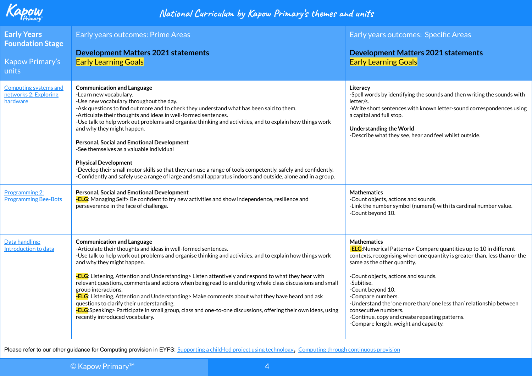

| <b>Early Years</b><br><b>Foundation Stage</b><br>Kapow Primary's<br>units | Early years outcomes: Prime Areas<br><b>Development Matters 2021 statements</b><br><b>Early Learning Goals</b>                                                                                                                                                                                                                                                                                                                                                                                                                                                                                                                                                                                                                                                                            | Early years outcomes: Specific Areas<br><b>Development Matters 2021 statements</b><br><b>Early Learning Goals</b>                                                                                                                                                                                                                                                                                                                                                                             |
|---------------------------------------------------------------------------|-------------------------------------------------------------------------------------------------------------------------------------------------------------------------------------------------------------------------------------------------------------------------------------------------------------------------------------------------------------------------------------------------------------------------------------------------------------------------------------------------------------------------------------------------------------------------------------------------------------------------------------------------------------------------------------------------------------------------------------------------------------------------------------------|-----------------------------------------------------------------------------------------------------------------------------------------------------------------------------------------------------------------------------------------------------------------------------------------------------------------------------------------------------------------------------------------------------------------------------------------------------------------------------------------------|
| <b>Computing systems and</b><br>networks 2: Exploring<br>hardware         | <b>Communication and Language</b><br>-Learn new vocabulary.<br>-Use new vocabulary throughout the day.<br>-Ask questions to find out more and to check they understand what has been said to them.<br>-Articulate their thoughts and ideas in well-formed sentences.<br>-Use talk to help work out problems and organise thinking and activities, and to explain how things work<br>and why they might happen.<br>Personal, Social and Emotional Development<br>-See themselves as a valuable individual<br><b>Physical Development</b><br>-Develop their small motor skills so that they can use a range of tools competently, safely and confidently.<br>-Confidently and safely use a range of large and small apparatus indoors and outside, alone and in a group.                    | Literacy<br>-Spell words by identifying the sounds and then writing the sounds with<br>letter/s.<br>-Write short sentences with known letter-sound correspondences using<br>a capital and full stop.<br><b>Understanding the World</b><br>-Describe what they see, hear and feel whilst outside.                                                                                                                                                                                              |
| Programming 2:<br><b>Programming Bee-Bots</b>                             | <b>Personal, Social and Emotional Development</b><br>-ELG: Managing Self> Be confident to try new activities and show independence, resilience and<br>perseverance in the face of challenge.                                                                                                                                                                                                                                                                                                                                                                                                                                                                                                                                                                                              | <b>Mathematics</b><br>-Count objects, actions and sounds.<br>-Link the number symbol (numeral) with its cardinal number value.<br>-Count beyond 10.                                                                                                                                                                                                                                                                                                                                           |
| Data handling:<br>Introduction to data                                    | <b>Communication and Language</b><br>-Articulate their thoughts and ideas in well-formed sentences.<br>-Use talk to help work out problems and organise thinking and activities, and to explain how things work<br>and why they might happen.<br>-ELG: Listening, Attention and Understanding> Listen attentively and respond to what they hear with<br>relevant questions, comments and actions when being read to and during whole class discussions and small<br>group interactions.<br>-ELG: Listening, Attention and Understanding> Make comments about what they have heard and ask<br>questions to clarify their understanding.<br>-ELG:Speaking> Participate in small group, class and one-to-one discussions, offering their own ideas, using<br>recently introduced vocabulary. | <b>Mathematics</b><br>-ELG: Numerical Patterns> Compare quantities up to 10 in different<br>contexts, recognising when one quantity is greater than, less than or the<br>same as the other quantity.<br>-Count objects, actions and sounds.<br>-Subitise.<br>-Count beyond 10.<br>-Compare numbers.<br>-Understand the 'one more than/ one less than' relationship between<br>consecutive numbers.<br>-Continue, copy and create repeating patterns.<br>-Compare length, weight and capacity. |

Please refer to our other guidance for Computing provision in EYFS: [Supporting a child-led project using technology](https://www.kapowprimary.com/subjects/computing/eyfs/eyfs-teacher-guidance-for-computing/teacher-guidance-supporting-a-child-led-project-using-technology/), [Computing through continuous provision](https://www.kapowprimary.com/subjects/computing/eyfs/eyfs-teacher-guidance-for-computing/teacher-guidance-computing-through-continuous-provision/)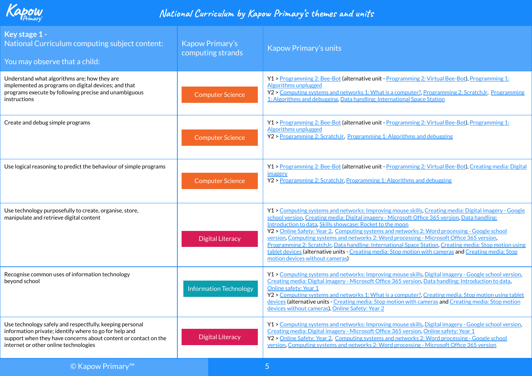

| Key stage 1 -<br>National Curriculum computing subject content:<br>You may observe that a child:                                                                                                                               | <b>Kapow Primary's</b><br>computing strands | <b>Kapow Primary's units</b>                                                                                                                                                                                                                                                                                                                                                                                                                                                                                                                                                                                                                                                                                               |
|--------------------------------------------------------------------------------------------------------------------------------------------------------------------------------------------------------------------------------|---------------------------------------------|----------------------------------------------------------------------------------------------------------------------------------------------------------------------------------------------------------------------------------------------------------------------------------------------------------------------------------------------------------------------------------------------------------------------------------------------------------------------------------------------------------------------------------------------------------------------------------------------------------------------------------------------------------------------------------------------------------------------------|
| Understand what algorithms are; how they are<br>implemented as programs on digital devices; and that<br>programs execute by following precise and unambiguous<br>instructions                                                  | <b>Computer Science</b>                     | Y1 > Programming 2: Bee-Bot (alternative unit - Programming 2: Virtual Bee-Bot), Programming 1:<br><b>Algorithms unplugged</b><br>Y2 > Computing systems and networks 1: What is a computer?, Programming 2: ScratchJr, Programming<br>1: Algorithms and debugging, Data handling: International Space Station                                                                                                                                                                                                                                                                                                                                                                                                             |
| Create and debug simple programs                                                                                                                                                                                               | <b>Computer Science</b>                     | Y1 > Programming 2: Bee-Bot (alternative unit - Programming 2: Virtual Bee-Bot), Programming 1:<br>Algorithms unplugged<br>Y2 > Programming 2: ScratchJr, Programming 1: Algorithms and debugging                                                                                                                                                                                                                                                                                                                                                                                                                                                                                                                          |
| Use logical reasoning to predict the behaviour of simple programs                                                                                                                                                              | <b>Computer Science</b>                     | Y1 > Programming 2: Bee-Bot (alternative unit - Programming 2: Virtual Bee-Bot), Creating media: Digital<br>imagery<br>Y2 > Programming 2: ScratchJr, Programming 1: Algorithms and debugging                                                                                                                                                                                                                                                                                                                                                                                                                                                                                                                              |
| Use technology purposefully to create, organise, store,<br>manipulate and retrieve digital content                                                                                                                             | <b>Digital Literacy</b>                     | Y1 > Computing systems and networks: Improving mouse skills, Creating media: Digital imagery - Google<br>school version, Creating media: Digital imagery - Microsoft Office 365 version, Data handling:<br>Introduction to data, Skills showcase: Rocket to the moon<br>Y2 > Online Safety: Year 2, Computing systems and networks 2: Word processing - Google school<br>version, Computing systems and networks 2: Word processing - Microsoft Office 365 version,<br>Programming 2: ScratchJr, Data handling: International Space Station, Creating media: Stop motion using<br>tablet devices (alternative units - Creating media: Stop motion with cameras and Creating media: Stop<br>motion devices without cameras) |
| Recognise common uses of information technology<br>beyond school                                                                                                                                                               | <b>Information Technology</b>               | Y1 > Computing systems and networks: Improving mouse skills, Digital imagery - Google school version,<br>Creating media: Digital imagery - Microsoft Office 365 version, Data handling: Introduction to data,<br><b>Online safety: Year 1</b><br>Y2 > Computing systems and networks 1: What is a computer? Creating media: Stop motion using tablet<br>devices (alternative units - Creating media: Stop motion with cameras and Creating media: Stop motion<br>devices without cameras), Online Safety: Year 2                                                                                                                                                                                                           |
| Use technology safely and respectfully, keeping personal<br>information private; identify where to go for help and<br>support when they have concerns about content or contact on the<br>internet or other online technologies | <b>Digital Literacy</b>                     | Y1 > Computing systems and networks: Improving mouse skills, Digital imagery - Google school version,<br>Creating media: Digital imagery - Microsoft Office 365 version, Online safety: Year 1<br>Y2 > Online Safety: Year 2, Computing systems and networks 2: Word processing - Google school<br>version, Computing systems and networks 2: Word processing - Microsoft Office 365 version                                                                                                                                                                                                                                                                                                                               |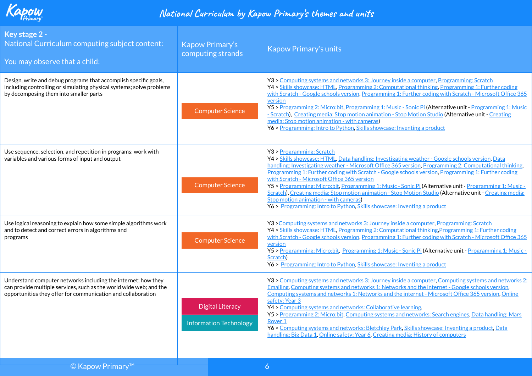

| Key stage 2 -<br>National Curriculum computing subject content:<br>You may observe that a child:                                                                                                    | Kapow Primary's<br>computing strands                     | <b>Kapow Primary's units</b>                                                                                                                                                                                                                                                                                                                                                                                                                                                                                                                                                                                                                                                                                                           |
|-----------------------------------------------------------------------------------------------------------------------------------------------------------------------------------------------------|----------------------------------------------------------|----------------------------------------------------------------------------------------------------------------------------------------------------------------------------------------------------------------------------------------------------------------------------------------------------------------------------------------------------------------------------------------------------------------------------------------------------------------------------------------------------------------------------------------------------------------------------------------------------------------------------------------------------------------------------------------------------------------------------------------|
| Design, write and debug programs that accomplish specific goals,<br>including controlling or simulating physical systems; solve problems<br>by decomposing them into smaller parts                  | <b>Computer Science</b>                                  | Y3 > Computing systems and networks 3: Journey inside a computer, Programming: Scratch<br>Y4 > Skills showcase: HTML, Programming 2: Computational thinking, Programming 1: Further coding<br>with Scratch - Google schools version, Programming 1: Further coding with Scratch - Microsoft Office 365<br>version<br>Y5 > Programming 2: Micro:bit, Programming 1: Music - Sonic Pi (Alternative unit - Programming 1: Music<br>- Scratch), Creating media: Stop motion animation - Stop Motion Studio (Alternative unit - Creating<br>media: Stop motion animation - with cameras)<br>Y6 > Programming: Intro to Python, Skills showcase: Inventing a product                                                                         |
| Use sequence, selection, and repetition in programs; work with<br>variables and various forms of input and output                                                                                   | <b>Computer Science</b>                                  | Y3 > Programming: Scratch<br>Y4 > Skills showcase: HTML, Data handling: Investigating weather - Google schools version, Data<br>handling: Investigating weather - Microsoft Office 365 version, Programming 2: Computational thinking,<br>Programming 1: Further coding with Scratch - Google schools version, Programming 1: Further coding<br>with Scratch - Microsoft Office 365 version<br>Y5 > Programming: Micro:bit, Programming 1: Music - Sonic Pi (Alternative unit - Programming 1: Music -<br>Scratch), Creating media: Stop motion animation - Stop Motion Studio (Alternative unit - Creating media:<br>Stop motion animation - with cameras)<br>Y6 > Programming: Intro to Python, Skills showcase: Inventing a product |
| Use logical reasoning to explain how some simple algorithms work<br>and to detect and correct errors in algorithms and<br>programs                                                                  | <b>Computer Science</b>                                  | Y3 > Computing systems and networks 3: Journey inside a computer, Programming: Scratch<br>Y4 > Skills showcase: HTML, Programming 2: Computational thinking Programming 1: Further coding<br>with Scratch - Google schools version, Programming 1: Further coding with Scratch - Microsoft Office 365<br>version<br>Y5 > Programming: Micro:bit, Programming 1: Music - Sonic Pi (Alternative unit - Programming 1: Music -<br>Scratch)<br>Y6 > Programming: Intro to Python, Skills showcase: Inventing a product                                                                                                                                                                                                                     |
| Understand computer networks including the internet; how they<br>can provide multiple services, such as the world wide web; and the<br>opportunities they offer for communication and collaboration | <b>Digital Literacy</b><br><b>Information Technology</b> | Y3 > Computing systems and networks 3: Journey inside a computer, Computing systems and networks 2:<br>Emailing, Computing systems and networks 1: Networks and the internet - Google schools version,<br>Computing systems and networks 1: Networks and the internet - Microsoft Office 365 version, Online<br>safety: Year 3<br>Y4 > Computing systems and networks: Collaborative learning,<br>Y5 > Programming 2: Micro:bit, Computing systems and networks: Search engines, Data handling: Mars<br>Rover <sub>1</sub><br>Y6 > Computing systems and networks: Bletchley Park, Skills showcase: Inventing a product, Data<br>handling: Big Data 1, Online safety: Year 6, Creating media: History of computers                     |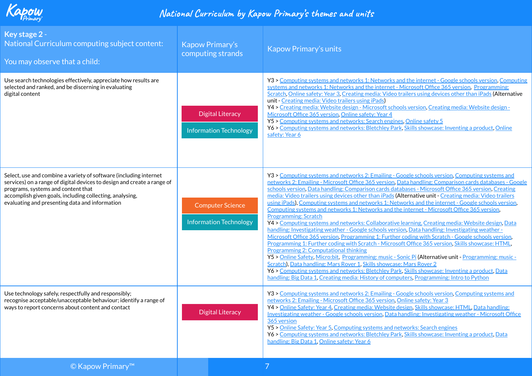

| Key stage 2 -<br>National Curriculum computing subject content:<br>You may observe that a child:                                                                                                                                                                                                 | <b>Kapow Primary's</b><br>computing strands              | <b>Kapow Primary's units</b>                                                                                                                                                                                                                                                                                                                                                                                                                                                                                                                                                                                                                                                                                                                                                                                                                                                                                                                                                                                                                                                                                                                                                                                                                                                                                                                                                                                                                                                                                         |
|--------------------------------------------------------------------------------------------------------------------------------------------------------------------------------------------------------------------------------------------------------------------------------------------------|----------------------------------------------------------|----------------------------------------------------------------------------------------------------------------------------------------------------------------------------------------------------------------------------------------------------------------------------------------------------------------------------------------------------------------------------------------------------------------------------------------------------------------------------------------------------------------------------------------------------------------------------------------------------------------------------------------------------------------------------------------------------------------------------------------------------------------------------------------------------------------------------------------------------------------------------------------------------------------------------------------------------------------------------------------------------------------------------------------------------------------------------------------------------------------------------------------------------------------------------------------------------------------------------------------------------------------------------------------------------------------------------------------------------------------------------------------------------------------------------------------------------------------------------------------------------------------------|
| Use search technologies effectively, appreciate how results are<br>selected and ranked, and be discerning in evaluating<br>digital content                                                                                                                                                       | <b>Digital Literacy</b><br><b>Information Technology</b> | Y3 > Computing systems and networks 1: Networks and the internet - Google schools version, Computing<br>systems and networks 1: Networks and the internet - Microsoft Office 365 version, Programming:<br>Scratch, Online safety: Year 3, Creating media: Video trailers using devices other than iPads (Alternative<br>unit - Creating media: Video trailers using iPads)<br>Y4 > Creating media: Website design - Microsoft schools version, Creating media: Website design -<br>Microsoft Office 365 version, Online safety: Year 4<br>Y5 > Computing systems and networks: Search engines, Online safety 5<br>Y6 > Computing systems and networks: Bletchley Park, Skills showcase: Inventing a product, Online<br>safety: Year 6                                                                                                                                                                                                                                                                                                                                                                                                                                                                                                                                                                                                                                                                                                                                                                                |
| Select, use and combine a variety of software (including internet<br>services) on a range of digital devices to design and create a range of<br>programs, systems and content that<br>accomplish given goals, including collecting, analysing,<br>evaluating and presenting data and information | <b>Computer Science</b><br><b>Information Technology</b> | Y3 > Computing systems and networks 2: Emailing - Google schools version, Computing systems and<br>networks 2: Emailing - Microsoft Office 365 version, Data handling: Comparison cards databases - Google<br>schools version, Data handling: Comparison cards databases - Microsoft Office 365 version, Creating<br>media: Video trailers using devices other than iPads (Alternative unit - Creating media: Video trailers<br>using iPads), Computing systems and networks 1: Networks and the internet - Google schools version.<br>Computing systems and networks 1: Networks and the internet - Microsoft Office 365 version.<br><b>Programming: Scratch</b><br>Y4 > Computing systems and networks: Collaborative learning, Creating media: Website design, Data<br>handling: Investigating weather - Google schools version, Data handling: Investigating weather -<br>Microsoft Office 365 version, Programming 1: Further coding with Scratch - Google schools version.<br>Programming 1: Further coding with Scratch - Microsoft Office 365 version, Skills showcase: HTML<br><b>Programming 2: Computational thinking</b><br>Y5 > Online Safety, Micro:bit, Programming: music - Sonic Pi (Alternative unit - Programming: music -<br>Scratch), Data handling: Mars Rover 1, Skills showcase: Mars Rover 2<br>Y6 > Computing systems and networks: Bletchley Park, Skills showcase: Inventing a product, Data<br>handling: Big Data 1, Creating media: History of computers, Programming: Intro to Python |
| Use technology safely, respectfully and responsibly;<br>recognise acceptable/unacceptable behaviour; identify a range of<br>ways to report concerns about content and contact                                                                                                                    | <b>Digital Literacy</b>                                  | Y3 > Computing systems and networks 2: Emailing - Google schools version, Computing systems and<br>networks 2: Emailing - Microsoft Office 365 version, Online safety: Year 3<br>Y4 > Online Safety: Year 4, Creating media: Website design, Skills showcase: HTML, Data handling:<br>Investigating weather - Google schools version, Data handling: Investigating weather - Microsoft Office<br>365 version<br>Y5 > Online Safety: Year 5, Computing systems and networks: Search engines<br>Y6 > Computing systems and networks: Bletchley Park, Skills showcase: Inventing a product, Data<br>handling: Big Data 1, Online safety: Year 6                                                                                                                                                                                                                                                                                                                                                                                                                                                                                                                                                                                                                                                                                                                                                                                                                                                                         |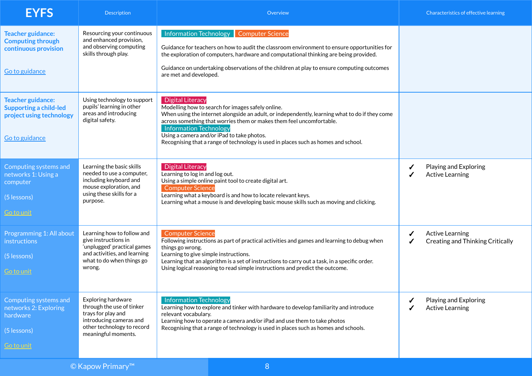| <b>EYFS</b>                                                                                             | <b>Description</b>                                                                                                                                       | Overview                                                                                                                                                                                                                                                                                                                                                                                                                    |        | Characteristics of effective learning                             |
|---------------------------------------------------------------------------------------------------------|----------------------------------------------------------------------------------------------------------------------------------------------------------|-----------------------------------------------------------------------------------------------------------------------------------------------------------------------------------------------------------------------------------------------------------------------------------------------------------------------------------------------------------------------------------------------------------------------------|--------|-------------------------------------------------------------------|
| <b>Teacher guidance:</b><br><b>Computing through</b><br>continuous provision<br>Go to guidance          | Resourcing your continuous<br>and enhanced provision,<br>and observing computing<br>skills through play.                                                 | Information Technology<br><b>Computer Science</b><br>Guidance for teachers on how to audit the classroom environment to ensure opportunities for<br>the exploration of computers, hardware and computational thinking are being provided.<br>Guidance on undertaking observations of the children at play to ensure computing outcomes<br>are met and developed.                                                            |        |                                                                   |
| <b>Teacher guidance:</b><br><b>Supporting a child-led</b><br>project using technology<br>Go to guidance | Using technology to support<br>pupils' learning in other<br>areas and introducing<br>digital safety.                                                     | <b>Digital Literacy</b><br>Modelling how to search for images safely online.<br>When using the internet alongside an adult, or independently, learning what to do if they come<br>across something that worries them or makes them feel uncomfortable.<br><b>Information Technology</b><br>Using a camera and/or iPad to take photos.<br>Recognising that a range of technology is used in places such as homes and school. |        |                                                                   |
| Computing systems and<br>networks 1: Using a<br>computer<br>$(5$ lessons)<br><u>Go to unit</u>          | Learning the basic skills<br>needed to use a computer,<br>including keyboard and<br>mouse exploration, and<br>using these skills for a<br>purpose.       | <b>Digital Literacy</b><br>Learning to log in and log out.<br>Using a simple online paint tool to create digital art.<br><b>Computer Science</b><br>Learning what a keyboard is and how to locate relevant keys.<br>Learning what a mouse is and developing basic mouse skills such as moving and clicking.                                                                                                                 | ✔<br>✔ | Playing and Exploring<br><b>Active Learning</b>                   |
| Programming 1: All about<br>instructions<br>(5 lessons)<br>Go to unit                                   | Learning how to follow and<br>give instructions in<br>'unplugged' practical games<br>and activities, and learning<br>what to do when things go<br>wrong. | <b>Computer Science</b><br>Following instructions as part of practical activities and games and learning to debug when<br>things go wrong.<br>Learning to give simple instructions.<br>Learning that an algorithm is a set of instructions to carry out a task, in a specific order.<br>Using logical reasoning to read simple instructions and predict the outcome.                                                        |        | <b>Active Learning</b><br><b>Creating and Thinking Critically</b> |
| Computing systems and<br>networks 2: Exploring<br>hardware<br>(5 lessons)<br><u>Go to unit</u>          | Exploring hardware<br>through the use of tinker<br>trays for play and<br>introducing cameras and<br>other technology to record<br>meaningful moments.    | <b>Information Technology</b><br>Learning how to explore and tinker with hardware to develop familiarity and introduce<br>relevant vocabulary.<br>Learning how to operate a camera and/or iPad and use them to take photos<br>Recognising that a range of technology is used in places such as homes and schools.                                                                                                           |        | Playing and Exploring<br><b>Active Learning</b>                   |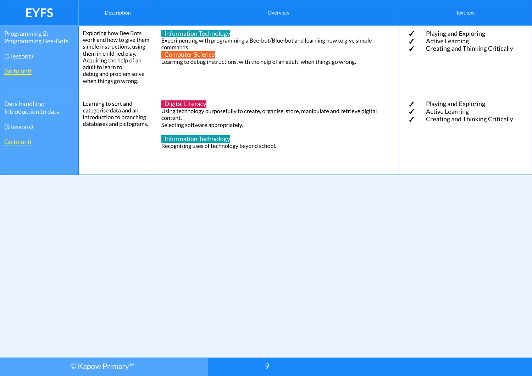| <b>EYFS</b>                                                                         | Description                                                                                                                                                                                                       | Overview                                                                                                                                                                                                                                                |   | Text text                                                                           |
|-------------------------------------------------------------------------------------|-------------------------------------------------------------------------------------------------------------------------------------------------------------------------------------------------------------------|---------------------------------------------------------------------------------------------------------------------------------------------------------------------------------------------------------------------------------------------------------|---|-------------------------------------------------------------------------------------|
| Programming 2:<br><b>Programming Bee-Bots</b><br>$(5$ lessons)<br><u>Go to unit</u> | Exploring how Bee Bots<br>work and how to give them<br>simple instructions, using<br>them in child-led play.<br>Acquiring the help of an<br>adult to learn to<br>debug and problem solve<br>when things go wrong. | <b>Information Technology</b><br>Experimenting with programming a Bee-bot/Blue-bot and learning how to give simple<br>commands.<br><b>Computer Science</b><br>Learning to debug instructions, with the help of an adult, when things go wrong.          |   | Playing and Exploring<br>Active Learning<br><b>Creating and Thinking Critically</b> |
| Data handling:<br>Introduction to data<br>(5 lessons)<br>Go to unit                 | Learning to sort and<br>categorise data and an<br>introduction to branching<br>databases and pictograms.                                                                                                          | <b>Digital Literacy</b><br>Using technology purposefully to create, organise, store, manipulate and retrieve digital<br>content.<br>Selecting software appropriately.<br><b>Information Technology</b><br>Recognising uses of technology beyond school. | ✔ | Playing and Exploring<br>Active Learning<br><b>Creating and Thinking Critically</b> |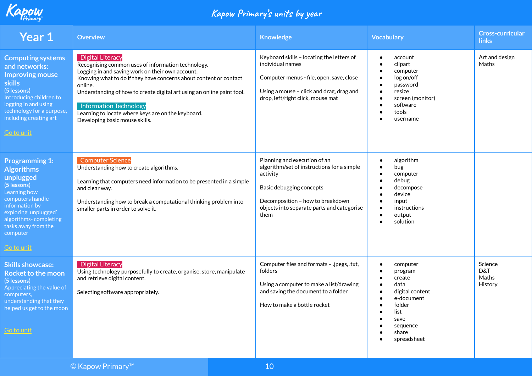

| Year 1                                                                                                                                                                                                                                 | <b>Overview</b>                                                                                                                                                                                                                                                                                                                                                                                               | <b>Knowledge</b>                                                                                                                                                                                             | <b>Vocabulary</b>                                                                                                                                 | <b>Cross-curricular</b><br><b>links</b> |
|----------------------------------------------------------------------------------------------------------------------------------------------------------------------------------------------------------------------------------------|---------------------------------------------------------------------------------------------------------------------------------------------------------------------------------------------------------------------------------------------------------------------------------------------------------------------------------------------------------------------------------------------------------------|--------------------------------------------------------------------------------------------------------------------------------------------------------------------------------------------------------------|---------------------------------------------------------------------------------------------------------------------------------------------------|-----------------------------------------|
| <b>Computing systems</b><br>and networks:<br><b>Improving mouse</b><br><b>skills</b><br>(5 lessons)<br>Introducing children to<br>logging in and using<br>technology for a purpose,<br>including creating art<br>Go to unit            | <b>Digital Literacy</b><br>Recognising common uses of information technology.<br>Logging in and saving work on their own account.<br>Knowing what to do if they have concerns about content or contact<br>online.<br>Understanding of how to create digital art using an online paint tool.<br>Information Technology<br>Learning to locate where keys are on the keyboard.<br>Developing basic mouse skills. | Keyboard skills - locating the letters of<br>individual names<br>Computer menus - file, open, save, close<br>Using a mouse - click and drag, drag and<br>drop, left/right click, mouse mat                   | account<br>clipart<br>computer<br>log on/off<br>password<br>resize<br>screen (monitor)<br>software<br>tools<br>username                           | Art and design<br>Maths                 |
| <b>Programming 1:</b><br><b>Algorithms</b><br>unplugged<br>(5 lessons)<br>Learning how<br>computers handle<br>information by<br>exploring 'unplugged'<br>algorithms-completing<br>tasks away from the<br>computer<br><b>Go to unit</b> | <b>Computer Science</b><br>Understanding how to create algorithms.<br>Learning that computers need information to be presented in a simple<br>and clear way.<br>Understanding how to break a computational thinking problem into<br>smaller parts in order to solve it.                                                                                                                                       | Planning and execution of an<br>algorithm/set of instructions for a simple<br>activity<br>Basic debugging concepts<br>Decomposition - how to breakdown<br>objects into separate parts and categorise<br>them | algorithm<br>$\bullet$<br>bug<br>$\bullet$<br>computer<br>debug<br>decompose<br>device<br>input<br>instructions<br>output<br>solution             |                                         |
| <b>Skills showcase:</b><br><b>Rocket to the moon</b><br>(5 lessons)<br>Appreciating the value of<br>computers,<br>understanding that they<br>helped us get to the moon<br><u>Go to unit</u>                                            | <b>Digital Literacy</b><br>Using technology purposefully to create, organise, store, manipulate<br>and retrieve digital content.<br>Selecting software appropriately.                                                                                                                                                                                                                                         | Computer files and formats - .jpegs, .txt,<br>folders<br>Using a computer to make a list/drawing<br>and saving the document to a folder<br>How to make a bottle rocket                                       | computer<br>program<br>create<br>data<br>$\bullet$<br>digital content<br>e-document<br>folder<br>list<br>save<br>sequence<br>share<br>spreadsheet | Science<br>D&T<br>Maths<br>History      |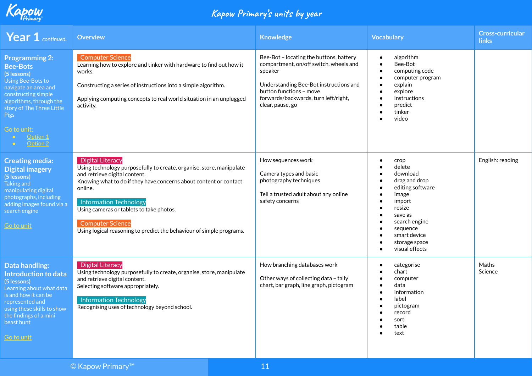

| Year 1 continued.                                                                                                                                                                                                                  | <b>Overview</b>                                                                                                                                                                                                                                                                                                                                                                                  | <b>Knowledge</b>                                                                                                                                                                                                              | <b>Vocabulary</b>                                                                                                                                                                                                 | <b>Cross-curricular</b><br><b>links</b> |
|------------------------------------------------------------------------------------------------------------------------------------------------------------------------------------------------------------------------------------|--------------------------------------------------------------------------------------------------------------------------------------------------------------------------------------------------------------------------------------------------------------------------------------------------------------------------------------------------------------------------------------------------|-------------------------------------------------------------------------------------------------------------------------------------------------------------------------------------------------------------------------------|-------------------------------------------------------------------------------------------------------------------------------------------------------------------------------------------------------------------|-----------------------------------------|
| <b>Programming 2:</b><br><b>Bee-Bots</b><br>(5 lessons)<br>Using Bee-Bots to<br>navigate an area and<br>constructing simple<br>algorithms, through the<br>story of The Three Little<br>Pigs<br>Go to unit:<br>Option 1<br>Option 2 | <b>Computer Science</b><br>Learning how to explore and tinker with hardware to find out how it<br>works.<br>Constructing a series of instructions into a simple algorithm.<br>Applying computing concepts to real world situation in an unplugged<br>activity.                                                                                                                                   | Bee-Bot - locating the buttons, battery<br>compartment, on/off switch, wheels and<br>speaker<br>Understanding Bee-Bot instructions and<br>button functions - move<br>forwards/backwards, turn left/right,<br>clear, pause, go | algorithm<br>$\bullet$<br>Bee-Bot<br>$\bullet$<br>computing code<br>$\bullet$<br>computer program<br>explain<br>explore<br>instructions<br>predict<br>tinker<br>$\bullet$<br>video                                |                                         |
| <b>Creating media:</b><br><b>Digital imagery</b><br>(5 lessons)<br><b>Taking and</b><br>manipulating digital<br>photographs, including<br>adding images found via a<br>search engine<br>Go to unit                                 | <b>Digital Literacy</b><br>Using technology purposefully to create, organise, store, manipulate<br>and retrieve digital content.<br>Knowing what to do if they have concerns about content or contact<br>online.<br><b>Information Technology</b><br>Using cameras or tablets to take photos.<br><b>Computer Science</b><br>Using logical reasoning to predict the behaviour of simple programs. | How sequences work<br>Camera types and basic<br>photography techniques<br>Tell a trusted adult about any online<br>safety concerns                                                                                            | crop<br>$\bullet$<br>delete<br>download<br>drag and drop<br>editing software<br>image<br>$\bullet$<br>import<br>resize<br>save as<br>search engine<br>sequence<br>smart device<br>storage space<br>visual effects | English: reading                        |
| Data handling:<br>Introduction to data<br>(5 lessons)<br>Learning about what data<br>is and how it can be<br>represented and<br>using these skills to show<br>the findings of a mini<br>beast hunt<br>Go to unit                   | <b>Digital Literacy</b><br>Using technology purposefully to create, organise, store, manipulate<br>and retrieve digital content.<br>Selecting software appropriately.<br><b>Information Technology</b><br>Recognising uses of technology beyond school.                                                                                                                                          | How branching databases work<br>Other ways of collecting data - tally<br>chart, bar graph, line graph, pictogram                                                                                                              | categorise<br>$\bullet$<br>chart<br>computer<br>data<br>$\bullet$<br>information<br>label<br>$\bullet$<br>pictogram<br>record<br>sort<br>table<br>text                                                            | Maths<br>Science                        |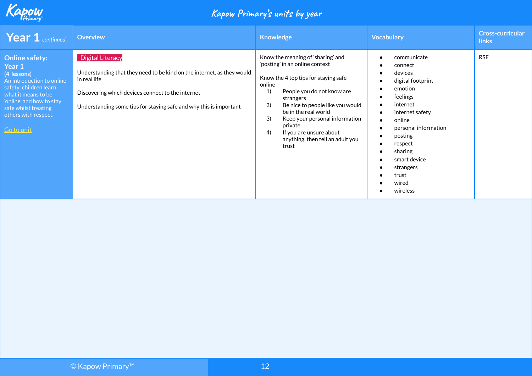

| <b>Year 1</b> continued.                                                                                                                                                                                               | <b>Overview</b>                                                                                                                                                                                                                              | <b>Knowledge</b>                                                                                                                                                                                                                                                                                                                                                          | <b>Vocabulary</b>                                                                                                                                                                                                                          | <b>Cross-curricular</b><br><b>links</b> |
|------------------------------------------------------------------------------------------------------------------------------------------------------------------------------------------------------------------------|----------------------------------------------------------------------------------------------------------------------------------------------------------------------------------------------------------------------------------------------|---------------------------------------------------------------------------------------------------------------------------------------------------------------------------------------------------------------------------------------------------------------------------------------------------------------------------------------------------------------------------|--------------------------------------------------------------------------------------------------------------------------------------------------------------------------------------------------------------------------------------------|-----------------------------------------|
| <b>Online safety:</b><br>Year 1<br>(4 lessons)<br>An introduction to online<br>safety: children learn<br>what it means to be<br>'online' and how to stay<br>safe whilst treating<br>others with respect.<br>Go to unit | <b>Digital Literacy</b><br>Understanding that they need to be kind on the internet, as they would<br>in real life<br>Discovering which devices connect to the internet<br>Understanding some tips for staying safe and why this is important | Know the meaning of 'sharing' and<br>'posting' in an online context<br>Know the 4 top tips for staying safe<br>online<br>1)<br>People you do not know are<br>strangers<br>2)<br>Be nice to people like you would<br>be in the real world<br>3)<br>Keep your personal information<br>private<br>If you are unsure about<br>4)<br>anything, then tell an adult you<br>trust | communicate<br>connect<br>devices<br>digital footprint<br>emotion<br>feelings<br>internet<br>internet safety<br>online<br>personal information<br>posting<br>respect<br>sharing<br>smart device<br>strangers<br>trust<br>wired<br>wireless | <b>RSE</b>                              |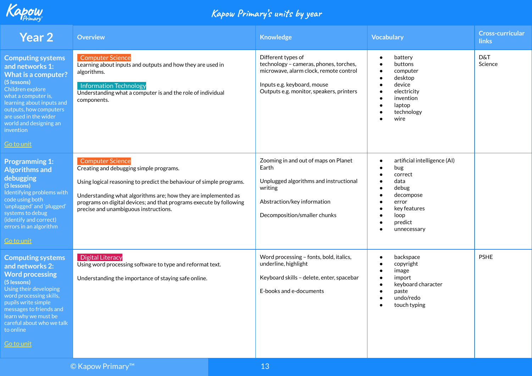

| <b>Year 2</b>                                                                                                                                                                                                                                                                      | <b>Overview</b>                                                                                                                                                                                                                                                                                                              | <b>Knowledge</b>                                                                                                                                                                  | <b>Vocabulary</b>                                                                                                                                                                           | <b>Cross-curricular</b><br><b>links</b> |
|------------------------------------------------------------------------------------------------------------------------------------------------------------------------------------------------------------------------------------------------------------------------------------|------------------------------------------------------------------------------------------------------------------------------------------------------------------------------------------------------------------------------------------------------------------------------------------------------------------------------|-----------------------------------------------------------------------------------------------------------------------------------------------------------------------------------|---------------------------------------------------------------------------------------------------------------------------------------------------------------------------------------------|-----------------------------------------|
| <b>Computing systems</b><br>and networks 1:<br><b>What is a computer?</b><br>(5 lessons)<br>Children explore<br>what a computer is,<br>learning about inputs and<br>outputs, how computers<br>are used in the wider<br>world and designing an<br>invention<br><b>Go to unit</b>    | <b>Computer Science</b><br>Learning about inputs and outputs and how they are used in<br>algorithms.<br><b>Information Technology</b><br>Understanding what a computer is and the role of individual<br>components.                                                                                                          | Different types of<br>technology - cameras, phones, torches,<br>microwave, alarm clock, remote control<br>Inputs e.g. keyboard, mouse<br>Outputs e.g. monitor, speakers, printers | battery<br>$\bullet$<br>buttons<br>computer<br>$\bullet$<br>desktop<br>device<br>electricity<br>invention<br>laptop<br>technology<br>wire                                                   | <b>D&amp;T</b><br>Science               |
| <b>Programming 1:</b><br><b>Algorithms and</b><br>debugging<br>(5 lessons)<br>Identifying problems with<br>code using both<br>'unplugged' and 'plugged'<br>systems to debug<br>(identify and correct)<br>errors in an algorithm<br>Go to unit                                      | <b>Computer Science</b><br>Creating and debugging simple programs.<br>Using logical reasoning to predict the behaviour of simple programs.<br>Understanding what algorithms are; how they are implemented as<br>programs on digital devices; and that programs execute by following<br>precise and unambiguous instructions. | Zooming in and out of maps on Planet<br>Earth<br>Unplugged algorithms and instructional<br>writing<br>Abstraction/key information<br>Decomposition/smaller chunks                 | artificial intelligence (AI)<br>$\bullet$<br>bug<br>correct<br>$\bullet$<br>data<br>$\bullet$<br>debug<br>decompose<br>error<br>key features<br>loop<br>predict<br>$\bullet$<br>unnecessary |                                         |
| <b>Computing systems</b><br>and networks 2:<br><b>Word processing</b><br>(5 lessons)<br>Using their developing<br>word processing skills,<br>pupils write simple<br>messages to friends and<br>learn why we must be<br>careful about who we talk<br>to online<br><u>Go to unit</u> | <b>Digital Literacy</b><br>Using word processing software to type and reformat text.<br>Understanding the importance of staying safe online.                                                                                                                                                                                 | Word processing - fonts, bold, italics,<br>underline, highlight<br>Keyboard skills - delete, enter, spacebar<br>E-books and e-documents                                           | backspace<br>$\bullet$<br>copyright<br>image<br>$\bullet$<br>import<br>keyboard character<br>paste<br>undo/redo<br>touch typing                                                             | <b>PSHE</b>                             |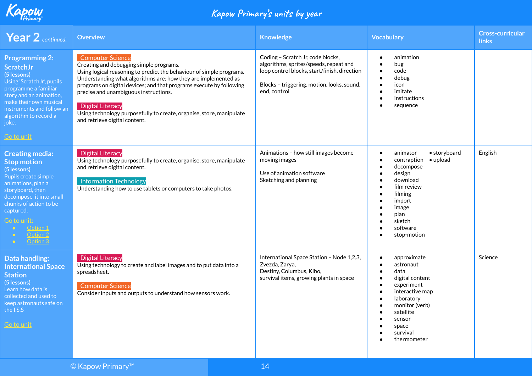

| <b>Year 2</b> continued.                                                                                                                                                                                                                                        | <b>Overview</b>                                                                                                                                                                                                                                                                                                                                                                                                                                                  | <b>Knowledge</b>                                                                                                                                                                          | <b>Vocabulary</b>                                                                                                                                                                                                                 | <b>Cross-curricular</b><br>links |
|-----------------------------------------------------------------------------------------------------------------------------------------------------------------------------------------------------------------------------------------------------------------|------------------------------------------------------------------------------------------------------------------------------------------------------------------------------------------------------------------------------------------------------------------------------------------------------------------------------------------------------------------------------------------------------------------------------------------------------------------|-------------------------------------------------------------------------------------------------------------------------------------------------------------------------------------------|-----------------------------------------------------------------------------------------------------------------------------------------------------------------------------------------------------------------------------------|----------------------------------|
| <b>Programming 2:</b><br><b>ScratchJr</b><br>(5 lessons)<br>Using 'ScratchJr', pupils<br>programme a familiar<br>story and an animation,<br>make their own musical<br>instruments and follow an<br>algorithm to record a<br>joke.<br><u>Go to unit</u>          | <b>Computer Science</b><br>Creating and debugging simple programs.<br>Using logical reasoning to predict the behaviour of simple programs.<br>Understanding what algorithms are; how they are implemented as<br>programs on digital devices; and that programs execute by following<br>precise and unambiguous instructions.<br><b>Digital Literacy</b><br>Using technology purposefully to create, organise, store, manipulate<br>and retrieve digital content. | Coding - Scratch Jr, code blocks,<br>algorithms, sprites/speeds, repeat and<br>loop control blocks, start/finish, direction<br>Blocks - triggering, motion, looks, sound,<br>end, control | animation<br>$\bullet$<br>bug<br>$\bullet$<br>code<br>$\bullet$<br>debug<br>icon<br>$\bullet$<br>imitate<br>instructions<br>$\bullet$<br>sequence                                                                                 |                                  |
| <b>Creating media:</b><br><b>Stop motion</b><br>(5 lessons)<br>Pupils create simple<br>animations, plan a<br>storyboard, then<br>decompose it into small<br>chunks of action to be<br>captured.<br>Go to unit:<br>Option 1<br>Option 2<br>Option 3<br>$\bullet$ | <b>Digital Literacy</b><br>Using technology purposefully to create, organise, store, manipulate<br>and retrieve digital content.<br><b>Information Technology</b><br>Understanding how to use tablets or computers to take photos.                                                                                                                                                                                                                               | Animations - how still images become<br>moving images<br>Use of animation software<br>Sketching and planning                                                                              | • storyboard<br>animator<br>$\bullet$<br>contraption • upload<br>$\bullet$<br>decompose<br>$\bullet$<br>design<br>$\bullet$<br>download<br>film review<br>filming<br>import<br>image<br>plan<br>sketch<br>software<br>stop-motion | English                          |
| <b>Data handling:</b><br><b>International Space</b><br><b>Station</b><br>(5 lessons)<br>Learn how data is<br>collected and used to<br>keep astronauts safe on<br>the I.S.S<br><u>Go to unit</u>                                                                 | <b>Digital Literacy</b><br>Using technology to create and label images and to put data into a<br>spreadsheet.<br><b>Computer Science</b><br>Consider inputs and outputs to understand how sensors work.                                                                                                                                                                                                                                                          | International Space Station - Node 1,2,3,<br>Zvezda, Zarya,<br>Destiny, Columbus, Kibo,<br>survival items, growing plants in space                                                        | approximate<br>astronaut<br>$\bullet$<br>data<br>digital content<br>$\bullet$<br>experiment<br>interactive map<br>$\bullet$<br>laboratory<br>monitor (verb)<br>satellite<br>sensor<br>space<br>survival<br>thermometer            | Science                          |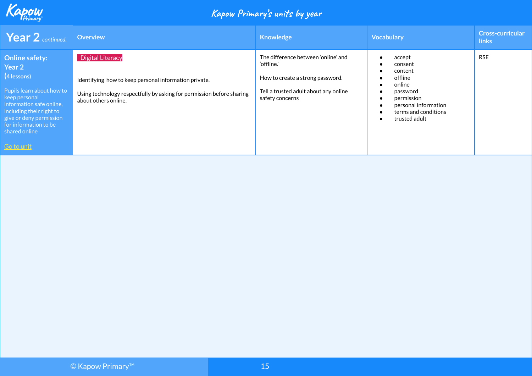

| <b>Year 2</b> continued.                                                                                                                                                                                                                | <b>Overview</b>                                                                                                                                                                   | <b>Knowledge</b>                                                                                                                                  | <b>Vocabulary</b>                                                                                                                            | Cross-curricular<br><b>links</b> |
|-----------------------------------------------------------------------------------------------------------------------------------------------------------------------------------------------------------------------------------------|-----------------------------------------------------------------------------------------------------------------------------------------------------------------------------------|---------------------------------------------------------------------------------------------------------------------------------------------------|----------------------------------------------------------------------------------------------------------------------------------------------|----------------------------------|
| <b>Online safety:</b><br>Year 2<br>(4 lessons)<br>Pupils learn about how to<br>keep personal<br>information safe online,<br>including their right to<br>give or deny permission<br>for information to be<br>shared online<br>Go to unit | <b>Digital Literacy</b><br>Identifying how to keep personal information private.<br>Using technology respectfully by asking for permission before sharing<br>about others online. | The difference between 'online' and<br>'offline.'<br>How to create a strong password.<br>Tell a trusted adult about any online<br>safety concerns | accept<br>consent<br>content<br>offline<br>online<br>password<br>permission<br>personal information<br>terms and conditions<br>trusted adult | <b>RSE</b>                       |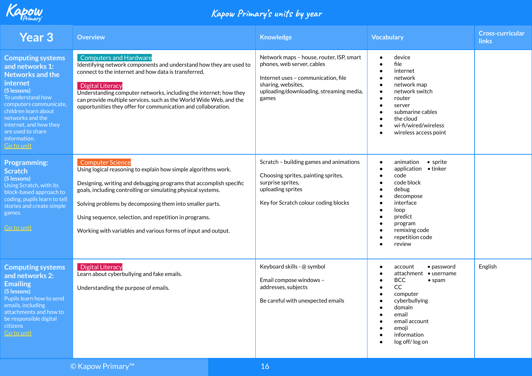

| <b>Year 3</b>                                                                                                                                                                                                                                                             | <b>Overview</b>                                                                                                                                                                                                                                                                                                                                                                                                        | <b>Knowledge</b>                                                                                                                                                                        | <b>Vocabulary</b>                                                                                                                                                                                                                                 | Cross-curricular<br>links |
|---------------------------------------------------------------------------------------------------------------------------------------------------------------------------------------------------------------------------------------------------------------------------|------------------------------------------------------------------------------------------------------------------------------------------------------------------------------------------------------------------------------------------------------------------------------------------------------------------------------------------------------------------------------------------------------------------------|-----------------------------------------------------------------------------------------------------------------------------------------------------------------------------------------|---------------------------------------------------------------------------------------------------------------------------------------------------------------------------------------------------------------------------------------------------|---------------------------|
| <b>Computing systems</b><br>and networks 1:<br><b>Networks and the</b><br>internet<br>(5 lessons)<br>To understand how<br>computers communicate,<br>children learn about<br>networks and the<br>internet, and how they<br>are used to share<br>information.<br>Go to unit | <b>Computers and Hardware</b><br>Identifying network components and understand how they are used to<br>connect to the internet and how data is transferred.<br><b>Digital Literacy</b><br>Understanding computer networks, including the internet; how they<br>can provide multiple services, such as the World Wide Web, and the<br>opportunities they offer for communication and collaboration.                     | Network maps - house, router, ISP, smart<br>phones, web server, cables<br>Internet uses - communication, file<br>sharing, websites,<br>uploading/downloading, streaming media,<br>games | device<br>file<br>internet<br>network<br>$\bullet$<br>network map<br>network switch<br>router<br>$\bullet$<br>server<br>$\bullet$<br>submarine cables<br>the cloud<br>wi-fi/wired/wireless<br>wireless access point                               |                           |
| <b>Programming:</b><br><b>Scratch</b><br>(5 lessons)<br>Using Scratch, with its<br>block-based approach to<br>coding, pupils learn to tell<br>stories and create simple<br>games.<br><u>Go to unit</u>                                                                    | <b>Computer Science</b><br>Using logical reasoning to explain how simple algorithms work.<br>Designing, writing and debugging programs that accomplish specific<br>goals, including controlling or simulating physical systems.<br>Solving problems by decomposing them into smaller parts.<br>Using sequence, selection, and repetition in programs.<br>Working with variables and various forms of input and output. | Scratch - building games and animations<br>Choosing sprites, painting sprites,<br>surprise sprites,<br>uploading sprites<br>Key for Scratch colour coding blocks                        | animation<br>$\bullet$ sprite<br>$\bullet$<br>application . tinker<br>$\bullet$<br>code<br>code block<br>debug<br>decompose<br>interface<br>loop<br>predict<br>$\bullet$<br>program<br>remixing code<br>repetition code<br>review                 |                           |
| <b>Computing systems</b><br>and networks 2:<br><b>Emailing</b><br>(5 lessons)<br>Pupils learn how to send<br>emails, including<br>attachments and how to<br>be responsible digital<br>citizens<br>Go to unit                                                              | <b>Digital Literacy</b><br>Learn about cyberbullying and fake emails.<br>Understanding the purpose of emails.                                                                                                                                                                                                                                                                                                          | Keyboard skills - @ symbol<br>Email compose windows -<br>addresses, subjects<br>Be careful with unexpected emails                                                                       | $\bullet$ password<br>account<br>attachment<br>$\bullet$ username<br><b>BCC</b><br>$•$ spam<br><sub>CC</sub><br>$\bullet$<br>computer<br>cyberbullying<br>domain<br>email<br>email account<br>emoji<br>information<br>$\bullet$<br>log off/log on | English                   |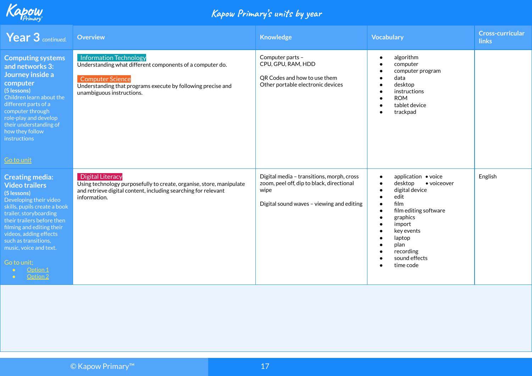

| <b>Year 3</b> continued.                                                                                                                                                                                                                                                                                                         | Overview                                                                                                                                                                                                           | <b>Knowledge</b>                                                                                                                            | <b>Vocabulary</b>                                                                                                                                                                                         | <b>Cross-curricular</b><br><b>links</b> |
|----------------------------------------------------------------------------------------------------------------------------------------------------------------------------------------------------------------------------------------------------------------------------------------------------------------------------------|--------------------------------------------------------------------------------------------------------------------------------------------------------------------------------------------------------------------|---------------------------------------------------------------------------------------------------------------------------------------------|-----------------------------------------------------------------------------------------------------------------------------------------------------------------------------------------------------------|-----------------------------------------|
| <b>Computing systems</b><br>and networks 3:<br>Journey inside a<br>computer<br>(5 lessons)<br>Children learn about the<br>different parts of a<br>computer through<br>role-play and develop<br>their understanding of<br>how they follow<br>instructions<br><u>Go to unit</u>                                                    | <b>Information Technology</b><br>Understanding what different components of a computer do.<br><b>Computer Science</b><br>Understanding that programs execute by following precise and<br>unambiguous instructions. | Computer parts -<br>CPU, GPU, RAM, HDD<br>QR Codes and how to use them<br>Other portable electronic devices                                 | algorithm<br>computer<br>computer program<br>data<br>desktop<br>instructions<br><b>ROM</b><br>tablet device<br>trackpad                                                                                   |                                         |
| <b>Creating media:</b><br><b>Video trailers</b><br>(5 lessons)<br>Developing their video<br>skills, pupils create a book<br>trailer, storyboarding<br>their trailers before then<br>filming and editing their<br>videos, adding effects<br>such as transitions,<br>music, voice and text.<br>Go to unit;<br>Option 1<br>Option 2 | <b>Digital Literacy</b><br>Using technology purposefully to create, organise, store, manipulate<br>and retrieve digital content, including searching for relevant<br>information.                                  | Digital media - transitions, morph, cross<br>zoom, peel off, dip to black, directional<br>wipe<br>Digital sound waves - viewing and editing | application ● voice<br>desktop<br>• voiceover<br>digital device<br>edit<br>film<br>film editing software<br>graphics<br>import<br>key events<br>laptop<br>plan<br>recording<br>sound effects<br>time code | English                                 |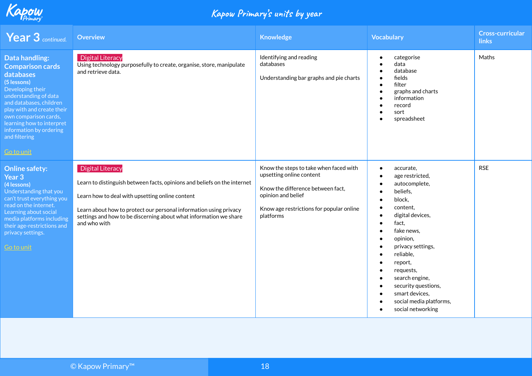

| <b>Year 3</b> continued.                                                                                                                                                                                                                                                                                  | <b>Overview</b>                                                                                                                                                                                                                                                                                                  | <b>Knowledge</b>                                                                                                                                                                       | <b>Vocabulary</b>                                                                                                                                                                                                                                                                                                                     | <b>Cross-curricular</b><br><b>links</b> |
|-----------------------------------------------------------------------------------------------------------------------------------------------------------------------------------------------------------------------------------------------------------------------------------------------------------|------------------------------------------------------------------------------------------------------------------------------------------------------------------------------------------------------------------------------------------------------------------------------------------------------------------|----------------------------------------------------------------------------------------------------------------------------------------------------------------------------------------|---------------------------------------------------------------------------------------------------------------------------------------------------------------------------------------------------------------------------------------------------------------------------------------------------------------------------------------|-----------------------------------------|
| <b>Data handling:</b><br><b>Comparison cards</b><br>databases<br>(5 lessons)<br>Developing their<br>understanding of data<br>and databases, children<br>play with and create their<br>own comparison cards,<br>learning how to interpret<br>information by ordering<br>and filtering<br><u>Go to unit</u> | <b>Digital Literacy</b><br>Using technology purposefully to create, organise, store, manipulate<br>and retrieve data.                                                                                                                                                                                            | Identifying and reading<br>databases<br>Understanding bar graphs and pie charts                                                                                                        | categorise<br>$\bullet$<br>data<br>database<br>fields<br>filter<br>graphs and charts<br>information<br>record<br>sort<br>spreadsheet                                                                                                                                                                                                  | Maths                                   |
| <b>Online safety:</b><br>Year 3<br>(4 lessons)<br>Understanding that you<br>can't trust everything you<br>read on the internet.<br>Learning about social<br>media platforms including<br>their age-restrictions and<br>privacy settings.<br>Go to unit                                                    | <b>Digital Literacy</b><br>Learn to distinguish between facts, opinions and beliefs on the internet<br>Learn how to deal with upsetting online content<br>Learn about how to protect our personal information using privacy<br>settings and how to be discerning about what information we share<br>and who with | Know the steps to take when faced with<br>upsetting online content<br>Know the difference between fact,<br>opinion and belief<br>Know age restrictions for popular online<br>platforms | accurate,<br>$\bullet$<br>age restricted,<br>autocomplete,<br>beliefs,<br>block,<br>content,<br>digital devices,<br>fact,<br>$\bullet$<br>fake news,<br>opinion,<br>privacy settings,<br>reliable,<br>report,<br>requests,<br>search engine,<br>security questions,<br>smart devices,<br>social media platforms,<br>social networking | <b>RSE</b>                              |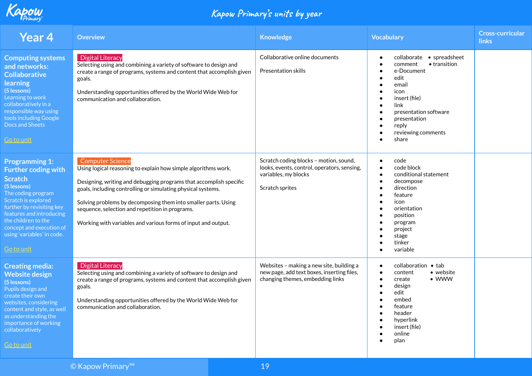

| <b>Year 4</b>                                                                                                                                                                                                                                                                                   | <b>Overview</b>                                                                                                                                                                                                                                                                                                                                                                                                       | <b>Knowledge</b>                                                                                                                 | <b>Vocabulary</b>                                                                                                                                                                                                               | <b>Cross-curricular</b><br>links |
|-------------------------------------------------------------------------------------------------------------------------------------------------------------------------------------------------------------------------------------------------------------------------------------------------|-----------------------------------------------------------------------------------------------------------------------------------------------------------------------------------------------------------------------------------------------------------------------------------------------------------------------------------------------------------------------------------------------------------------------|----------------------------------------------------------------------------------------------------------------------------------|---------------------------------------------------------------------------------------------------------------------------------------------------------------------------------------------------------------------------------|----------------------------------|
| <b>Computing systems</b><br>and networks:<br><b>Collaborative</b><br>learning<br>(5 lessons)<br>Learning to work<br>collaboratively in a<br>responsible way using<br>tools including Google<br>Docs and Sheets<br><b>Go to unit</b>                                                             | <b>Digital Literacy</b><br>Selecting using and combining a variety of software to design and<br>create a range of programs, systems and content that accomplish given<br>goals.<br>Understanding opportunities offered by the World Wide Web for<br>communication and collaboration.                                                                                                                                  | Collaborative online documents<br><b>Presentation skills</b>                                                                     | collaborate • spreadsheet<br>$\bullet$<br>• transition<br>comment<br>e-Document<br>edit<br>email<br>icon<br>insert (file)<br>$\bullet$<br>link<br>presentation software<br>presentation<br>reply<br>reviewing comments<br>share |                                  |
| <b>Programming 1:</b><br><b>Further coding with</b><br><b>Scratch</b><br>(5 lessons)<br>The coding program<br>Scratch is explored<br>further by revisiting key<br>features and introducing<br>the children to the<br>concept and execution of<br>using variables' in code.<br><b>Go to unit</b> | <b>Computer Science</b><br>Using logical reasoning to explain how simple algorithms work.<br>Designing, writing and debugging programs that accomplish specific<br>goals, including controlling or simulating physical systems.<br>Solving problems by decomposing them into smaller parts. Using<br>sequence, selection and repetition in programs.<br>Working with variables and various forms of input and output. | Scratch coding blocks - motion, sound,<br>looks, events, control, operators, sensing,<br>variables, my blocks<br>Scratch sprites | code<br>$\bullet$<br>code block<br>$\bullet$<br>conditional statement<br>decompose<br>$\bullet$<br>direction<br>feature<br>icon<br>orientation<br>position<br>program<br>project<br>stage<br>tinker<br>variable                 |                                  |
| <b>Creating media:</b><br><b>Website design</b><br>(5 lessons)<br>Pupils design and<br>create their own<br>websites, considering<br>content and style, as well<br>as understanding the<br>importance of working<br>collaboratively<br><u>Go to unit</u>                                         | <b>Digital Literacy</b><br>Selecting using and combining a variety of software to design and<br>create a range of programs, systems and content that accomplish given<br>goals.<br>Understanding opportunities offered by the World Wide Web for<br>communication and collaboration.                                                                                                                                  | Websites - making a new site, building a<br>new page, add text boxes, inserting files,<br>changing themes, embedding links       | collaboration • tab<br>$\bullet$<br>• website<br>content<br>$\bullet$<br>$\bullet$ WWW<br>create<br>design<br>edit<br>embed<br>feature<br>header<br>hyperlink<br>insert (file)<br>online<br>plan                                |                                  |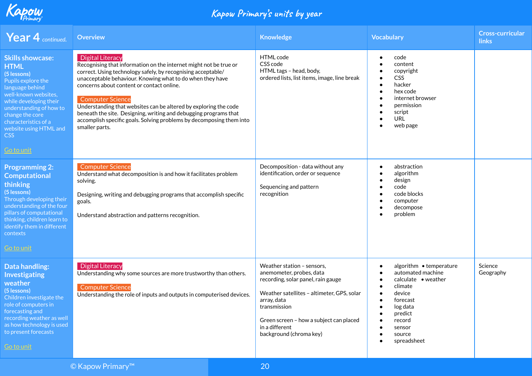

| <b>Year 4</b> continued.                                                                                                                                                                                                                                              | <b>Overview</b>                                                                                                                                                                                                                                                                                                                                                                                                                                                                                                                     | <b>Knowledge</b>                                                                                                                                                                                                                                                  | <b>Vocabulary</b>                                                                                                                                                                                                | <b>Cross-curricular</b><br><b>links</b> |
|-----------------------------------------------------------------------------------------------------------------------------------------------------------------------------------------------------------------------------------------------------------------------|-------------------------------------------------------------------------------------------------------------------------------------------------------------------------------------------------------------------------------------------------------------------------------------------------------------------------------------------------------------------------------------------------------------------------------------------------------------------------------------------------------------------------------------|-------------------------------------------------------------------------------------------------------------------------------------------------------------------------------------------------------------------------------------------------------------------|------------------------------------------------------------------------------------------------------------------------------------------------------------------------------------------------------------------|-----------------------------------------|
| <b>Skills showcase:</b><br><b>HTML</b><br>(5 lessons)<br>Pupils explore the<br>language behind<br>well-known websites,<br>while developing their<br>understanding of how to<br>change the core<br>characteristics of a<br>website using HTML and<br>CSS<br>Go to unit | <b>Digital Literacy</b><br>Recognising that information on the internet might not be true or<br>correct. Using technology safely, by recognising acceptable/<br>unacceptable behaviour. Knowing what to do when they have<br>concerns about content or contact online.<br><b>Computer Science</b><br>Understanding that websites can be altered by exploring the code<br>beneath the site. Designing, writing and debugging programs that<br>accomplish specific goals. Solving problems by decomposing them into<br>smaller parts. | HTML code<br>CSS code<br>HTML tags - head, body,<br>ordered lists, list items, image, line break                                                                                                                                                                  | code<br>content<br>$\bullet$<br>copyright<br>CSS<br>hacker<br>hex code<br>internet browser<br>permission<br>script<br>URL<br>web page                                                                            |                                         |
| <b>Programming 2:</b><br>Computational<br>thinking<br>(5 lessons)<br>Through developing their<br>understanding of the four<br>pillars of computational<br>thinking, children learn to<br>identify them in different<br>contexts<br><b>Go to unit</b>                  | <b>Computer Science</b><br>Understand what decomposition is and how it facilitates problem<br>solving.<br>Designing, writing and debugging programs that accomplish specific<br>goals.<br>Understand abstraction and patterns recognition.                                                                                                                                                                                                                                                                                          | Decomposition - data without any<br>identification, order or sequence<br>Sequencing and pattern<br>recognition                                                                                                                                                    | abstraction<br>$\bullet$<br>algorithm<br>design<br>code<br>code blocks<br>computer<br>decompose<br>problem                                                                                                       |                                         |
| Data handling:<br>Investigating<br>weather<br>(5 lessons)<br>Children investigate the<br>role of computers in<br>forecasting and<br>recording weather as well<br>as how technology is used<br>to present forecasts<br><b>Go to unit</b>                               | <b>Digital Literacy</b><br>Understanding why some sources are more trustworthy than others.<br><b>Computer Science</b><br>Understanding the role of inputs and outputs in computerised devices.                                                                                                                                                                                                                                                                                                                                     | Weather station - sensors,<br>anemometer, probes, data<br>recording, solar panel, rain gauge<br>Weather satellites - altimeter, GPS, solar<br>array, data<br>transmission<br>Green screen - how a subject can placed<br>in a different<br>background (chroma key) | algorithm • temperature<br>$\bullet$<br>automated machine<br>$\bullet$<br>$cal$ calculate $\bullet$ weather<br>climate<br>device<br>forecast<br>log data<br>predict<br>record<br>sensor<br>source<br>spreadsheet | Science<br>Geography                    |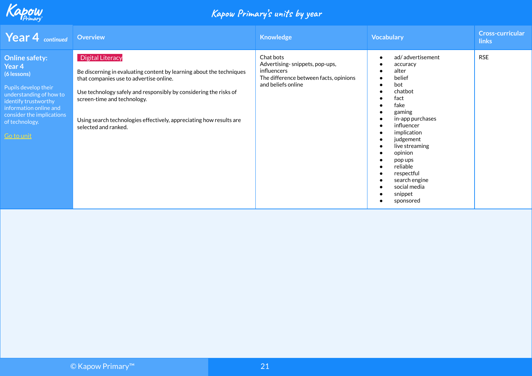

| <b>Year 4</b> continued                                                                                                                                                                                          | <b>Overview</b>                                                                                                                                                                                                                                                                                                                               | <b>Knowledge</b>                                                                                                           | <b>Vocabulary</b>                                                                                                                                                                                                                                                                    | <b>Cross-curricular</b><br><b>links</b> |
|------------------------------------------------------------------------------------------------------------------------------------------------------------------------------------------------------------------|-----------------------------------------------------------------------------------------------------------------------------------------------------------------------------------------------------------------------------------------------------------------------------------------------------------------------------------------------|----------------------------------------------------------------------------------------------------------------------------|--------------------------------------------------------------------------------------------------------------------------------------------------------------------------------------------------------------------------------------------------------------------------------------|-----------------------------------------|
| <b>Online safety:</b><br>Year 4<br>(6 lessons)<br>Pupils develop their<br>understanding of how to<br>identify trustworthy<br>information online and<br>consider the implications<br>of technology.<br>Go to unit | <b>Digital Literacy</b><br>Be discerning in evaluating content by learning about the techniques<br>that companies use to advertise online.<br>Use technology safely and responsibly by considering the risks of<br>screen-time and technology.<br>Using search technologies effectively, appreciating how results are<br>selected and ranked. | Chat bots<br>Advertising-snippets, pop-ups,<br>influencers<br>The difference between facts, opinions<br>and beliefs online | ad/advertisement<br>accuracy<br>alter<br>belief<br>bot<br>chatbot<br>fact<br>fake<br>gaming<br>in-app purchases<br>influencer<br>implication<br>judgement<br>live streaming<br>opinion<br>pop ups<br>reliable<br>respectful<br>search engine<br>social media<br>snippet<br>sponsored | <b>RSE</b>                              |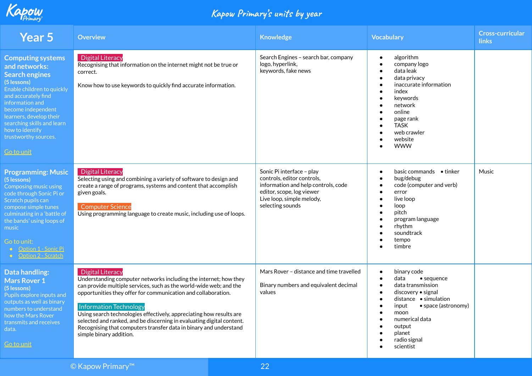

| <b>Year 5</b>                                                                                                                                                                                                                                                                                     | <b>Overview</b>                                                                                                                                                                                                                                                                                                                                                                                                                                                                                                     | <b>Knowledge</b>                                                                                                                                                             | <b>Vocabulary</b>                                                                                                                                                                                                                     | <b>Cross-curricular</b><br><b>links</b> |
|---------------------------------------------------------------------------------------------------------------------------------------------------------------------------------------------------------------------------------------------------------------------------------------------------|---------------------------------------------------------------------------------------------------------------------------------------------------------------------------------------------------------------------------------------------------------------------------------------------------------------------------------------------------------------------------------------------------------------------------------------------------------------------------------------------------------------------|------------------------------------------------------------------------------------------------------------------------------------------------------------------------------|---------------------------------------------------------------------------------------------------------------------------------------------------------------------------------------------------------------------------------------|-----------------------------------------|
| <b>Computing systems</b><br>and networks:<br><b>Search engines</b><br>(5 lessons)<br>Enable children to quickly<br>and accurately find<br>information and<br>become independent<br>learners, develop their<br>searching skills and learn<br>how to identify<br>trustworthy sources.<br>Go to unit | <b>Digital Literacy</b><br>Recognising that information on the internet might not be true or<br>correct.<br>Know how to use keywords to quickly find accurate information.                                                                                                                                                                                                                                                                                                                                          | Search Engines - search bar, company<br>logo, hyperlink,<br>keywords, fake news                                                                                              | algorithm<br>$\bullet$<br>company logo<br>data leak<br>data privacy<br>inaccurate information<br>index<br>keywords<br>network<br>online<br>page rank<br><b>TASK</b><br>web crawler<br>website<br><b>WWW</b>                           |                                         |
| <b>Programming: Music</b><br>(5 lessons)<br>Composing music using<br>code through Sonic Pi or<br>Scratch pupils can<br>compose simple tunes<br>culminating in a 'battle of<br>the bands' using loops of<br>music<br>Go to unit:<br>• Option 1 - Sonic Pi<br>• Option 2 - Scratch                  | <b>Digital Literacy</b><br>Selecting using and combining a variety of software to design and<br>create a range of programs, systems and content that accomplish<br>given goals.<br><b>Computer Science</b><br>Using programming language to create music, including use of loops.                                                                                                                                                                                                                                   | Sonic Pi interface - play<br>controls, editor controls,<br>information and help controls, code<br>editor, scope, log viewer<br>Live loop, simple melody,<br>selecting sounds | basic commands $\bullet$ tinker<br>$\bullet$<br>bug/debug<br>code (computer and verb)<br>error<br>live loop<br>loop<br>pitch<br>program language<br>rhythm<br>soundtrack<br>tempo<br>timbre                                           | Music                                   |
| <b>Data handling:</b><br><b>Mars Rover 1</b><br>(5 lessons)<br>Pupils explore inputs and<br>outputs as well as binary<br>numbers to understand<br>how the Mars Rover<br>transmits and receives<br>data.<br><b>Go to unit</b>                                                                      | <b>Digital Literacy</b><br>Understanding computer networks including the internet; how they<br>can provide multiple services, such as the world-wide web; and the<br>opportunities they offer for communication and collaboration.<br><b>Information Technology</b><br>Using search technologies effectively, appreciating how results are<br>selected and ranked, and be discerning in evaluating digital content.<br>Recognising that computers transfer data in binary and understand<br>simple binary addition. | Mars Rover - distance and time travelled<br>Binary numbers and equivalent decimal<br>values                                                                                  | binary code<br>$\bullet$<br>data<br>$\bullet$ sequence<br>data transmission<br>discovery • signal<br>distance • simulation<br>• space (astronomy)<br>input<br>moon<br>numerical data<br>output<br>planet<br>radio signal<br>scientist |                                         |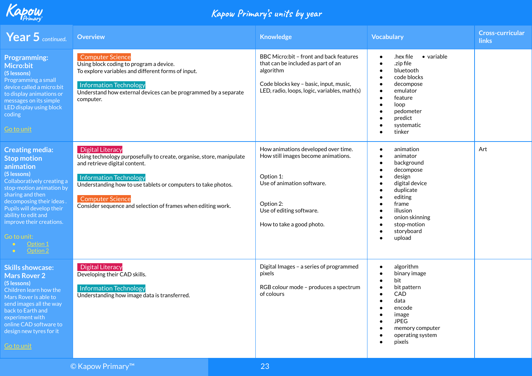

| Year 5 continued.                                                                                                                                                                                                                                                                             | <b>Overview</b>                                                                                                                                                                                                                                                                                                        | <b>Knowledge</b>                                                                                                                                                                            | <b>Vocabulary</b>                                                                                                                                                                                                         | <b>Cross-curricular</b><br><b>links</b> |
|-----------------------------------------------------------------------------------------------------------------------------------------------------------------------------------------------------------------------------------------------------------------------------------------------|------------------------------------------------------------------------------------------------------------------------------------------------------------------------------------------------------------------------------------------------------------------------------------------------------------------------|---------------------------------------------------------------------------------------------------------------------------------------------------------------------------------------------|---------------------------------------------------------------------------------------------------------------------------------------------------------------------------------------------------------------------------|-----------------------------------------|
| <b>Programming:</b><br><b>Micro:bit</b><br>(5 lessons)<br>Programming a small<br>device called a micro:bit<br>to display animations or<br>messages on its simple<br>LED display using block<br>coding<br>Go to unit                                                                           | <b>Computer Science</b><br>Using block coding to program a device.<br>To explore variables and different forms of input.<br><b>Information Technology</b><br>Understand how external devices can be programmed by a separate<br>computer.                                                                              | BBC Micro:bit - front and back features<br>that can be included as part of an<br>algorithm<br>Code blocks key - basic, input, music,<br>LED, radio, loops, logic, variables, math(s)        | $\bullet$ variable<br>hex file.<br>$\bullet$<br>.zip file<br>$\bullet$<br>bluetooth<br>code blocks<br>decompose<br>emulator<br>feature<br>loop<br>pedometer<br>predict<br>systematic<br>tinker                            |                                         |
| <b>Creating media:</b><br><b>Stop motion</b><br>animation<br>(5 lessons)<br>Collaboratively creating a<br>stop-motion animation by<br>sharing and then<br>decomposing their ideas.<br>Pupils will develop their<br>ability to edit and<br>improve their creations.<br>Go to unit:<br>Option 2 | <b>Digital Literacy</b><br>Using technology purposefully to create, organise, store, manipulate<br>and retrieve digital content.<br>Information Technology<br>Understanding how to use tablets or computers to take photos.<br><b>Computer Science</b><br>Consider sequence and selection of frames when editing work. | How animations developed over time.<br>How still images become animations.<br>Option 1:<br>Use of animation software.<br>Option 2:<br>Use of editing software.<br>How to take a good photo. | animation<br>$\bullet$<br>animator<br>$\bullet$<br>background<br>decompose<br>design<br>digital device<br>duplicate<br>editing<br>frame<br>illusion<br>onion skinning<br>stop-motion<br>storyboard<br>$\bullet$<br>upload | Art                                     |
| <b>Skills showcase:</b><br><b>Mars Rover 2</b><br>(5 lessons)<br>Children learn how the<br>Mars Rover is able to<br>send images all the way<br>back to Earth and<br>experiment with<br>online CAD software to<br>design new tyres for it<br><b>Go to unit</b>                                 | <b>Digital Literacy</b><br>Developing their CAD skills.<br><b>Information Technology</b><br>Understanding how image data is transferred.                                                                                                                                                                               | Digital Images - a series of programmed<br>pixels<br>RGB colour mode - produces a spectrum<br>of colours                                                                                    | algorithm<br>$\bullet$<br>binary image<br>bit<br>bit pattern<br>CAD<br>data<br>encode<br>image<br><b>JPEG</b><br>memory computer<br>operating system<br>pixels                                                            |                                         |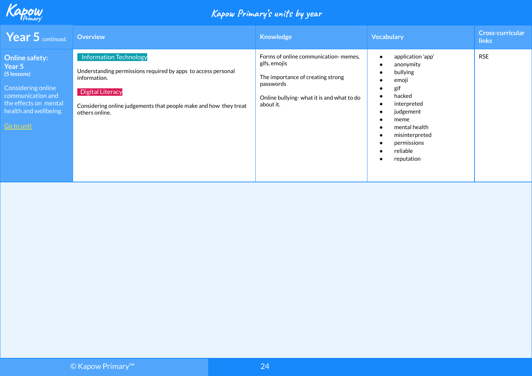

| <b>Year 5</b> continued.                                                                                                                                  | <b>Overview</b>                                                                                                                                                                                                           | Knowledge                                                                                                                                                        | <b>Vocabulary</b>                                                                                                                                                                    | <b>Cross-curricular</b><br><b>links</b> |
|-----------------------------------------------------------------------------------------------------------------------------------------------------------|---------------------------------------------------------------------------------------------------------------------------------------------------------------------------------------------------------------------------|------------------------------------------------------------------------------------------------------------------------------------------------------------------|--------------------------------------------------------------------------------------------------------------------------------------------------------------------------------------|-----------------------------------------|
| <b>Online safety:</b><br>Year 5<br>(5 lessons)<br>Considering online<br>communication and<br>the effects on mental<br>health and wellbeing.<br>Go to unit | Information Technology<br>Understanding permissions required by apps to access personal<br>information.<br><b>Digital Literacy</b><br>Considering online judgements that people make and how they treat<br>others online. | Forms of online communication-memes,<br>gifs, emojis<br>The importance of creating strong<br>passwords<br>Online bullying-what it is and what to do<br>about it. | application 'app'<br>anonymity<br>bullying<br>emoji<br>gif<br>hacked<br>interpreted<br>judgement<br>meme<br>mental health<br>misinterpreted<br>permissions<br>reliable<br>reputation | <b>RSE</b>                              |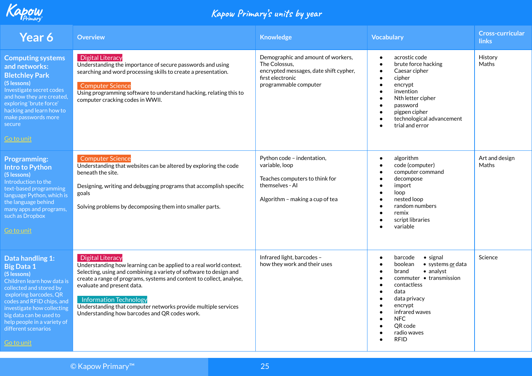

| Year 6                                                                                                                                                                                                                                                                                                   | <b>Overview</b>                                                                                                                                                                                                                                                                                                                                                                                                        | <b>Knowledge</b>                                                                                                                           | <b>Vocabulary</b>                                                                                                                                                                                                                                                 | <b>Cross-curricular</b><br><b>links</b> |
|----------------------------------------------------------------------------------------------------------------------------------------------------------------------------------------------------------------------------------------------------------------------------------------------------------|------------------------------------------------------------------------------------------------------------------------------------------------------------------------------------------------------------------------------------------------------------------------------------------------------------------------------------------------------------------------------------------------------------------------|--------------------------------------------------------------------------------------------------------------------------------------------|-------------------------------------------------------------------------------------------------------------------------------------------------------------------------------------------------------------------------------------------------------------------|-----------------------------------------|
| <b>Computing systems</b><br>and networks:<br><b>Bletchley Park</b><br>(5 lessons)<br>Investigate secret codes<br>and how they are created,<br>exploring 'brute force'<br>hacking and learn how to<br>make passwords more<br>secure<br><u>Go to unit</u>                                                  | <b>Digital Literacy</b><br>Understanding the importance of secure passwords and using<br>searching and word processing skills to create a presentation.<br><b>Computer Science</b><br>Using programming software to understand hacking, relating this to<br>computer cracking codes in WWII.                                                                                                                           | Demographic and amount of workers,<br>The Colossus,<br>encrypted messages, date shift cypher,<br>first electronic<br>programmable computer | acrostic code<br>$\bullet$<br>brute force hacking<br>Caesar cipher<br>$\bullet$<br>cipher<br>encrypt<br>invention<br>Nth letter cipher<br>password<br>pigpen cipher<br>technological advancement<br>trial and error                                               | History<br>Maths                        |
| <b>Programming:</b><br><b>Intro to Python</b><br>(5 lessons)<br>Introduction to the<br>text-based programming<br>language Python, which is<br>the language behind<br>many apps and programs,<br>such as Dropbox<br>Go to unit                                                                            | <b>Computer Science</b><br>Understanding that websites can be altered by exploring the code<br>beneath the site.<br>Designing, writing and debugging programs that accomplish specific<br>goals<br>Solving problems by decomposing them into smaller parts.                                                                                                                                                            | Python code - indentation,<br>variable, loop<br>Teaches computers to think for<br>themselves - Al<br>Algorithm - making a cup of tea       | algorithm<br>$\bullet$<br>code (computer)<br>computer command<br>decompose<br>import<br>loop<br>nested loop<br>random numbers<br>remix<br>script libraries<br>variable                                                                                            | Art and design<br>Maths                 |
| Data handling 1:<br><b>Big Data 1</b><br>(5 lessons)<br>Children learn how data is<br>collected and stored by<br>exploring barcodes, QR<br>codes and RFID chips, and<br>investigate how collecting<br>big data can be used to<br>help people in a variety of<br>different scenarios<br><b>Go to unit</b> | <b>Digital Literacy</b><br>Understanding how learning can be applied to a real world context.<br>Selecting, using and combining a variety of software to design and<br>create a range of programs, systems and content to collect, analyse,<br>evaluate and present data.<br>Information Technology<br>Understanding that computer networks provide multiple services<br>Understanding how barcodes and QR codes work. | Infrared light, barcodes -<br>how they work and their uses                                                                                 | $\bullet$ signal<br>barcode<br>$\bullet$<br>boolean<br>• systems or data<br>• analyst<br>brand<br>commuter • transmission<br>contactless<br>$\bullet$<br>data<br>data privacy<br>encrypt<br>infrared waves<br><b>NFC</b><br>QR code<br>radio waves<br><b>RFID</b> | Science                                 |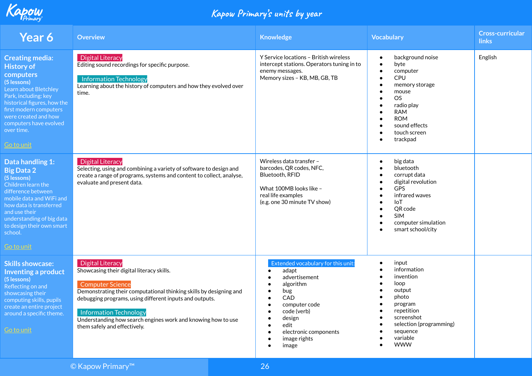

| <b>Year 6</b>                                                                                                                                                                                                                                                   | <b>Overview</b>                                                                                                                                                                                                                                                                                                                                                   | <b>Knowledge</b>                                                                                                                                                                            | <b>Vocabulary</b>                                                                                                                                                                                                                                                                         | <b>Cross-curricular</b><br><b>links</b> |
|-----------------------------------------------------------------------------------------------------------------------------------------------------------------------------------------------------------------------------------------------------------------|-------------------------------------------------------------------------------------------------------------------------------------------------------------------------------------------------------------------------------------------------------------------------------------------------------------------------------------------------------------------|---------------------------------------------------------------------------------------------------------------------------------------------------------------------------------------------|-------------------------------------------------------------------------------------------------------------------------------------------------------------------------------------------------------------------------------------------------------------------------------------------|-----------------------------------------|
| <b>Creating media:</b><br><b>History of</b><br>computers<br>(5 lessons)<br>Learn about Bletchley<br>Park, including: key<br>historical figures, how the<br>first modern computers<br>were created and how<br>computers have evolved<br>over time.<br>Go to unit | <b>Digital Literacy</b><br>Editing sound recordings for specific purpose.<br><b>Information Technology</b><br>Learning about the history of computers and how they evolved over<br>time.                                                                                                                                                                          | Y Service locations - British wireless<br>intercept stations. Operators tuning in to<br>enemy messages.<br>Memory sizes - KB, MB, GB, TB                                                    | background noise<br>$\bullet$<br>byte<br>$\bullet$<br>computer<br>$\bullet$<br>CPU<br>$\bullet$<br>memory storage<br>$\bullet$<br>mouse<br>$\bullet$<br>OS.<br>radio play<br><b>RAM</b><br><b>ROM</b><br>$\bullet$<br>sound effects<br>touch screen<br>$\bullet$<br>trackpad<br>$\bullet$ | English                                 |
| Data handling 1:<br><b>Big Data 2</b><br>(5 lessons)<br>Children learn the<br>difference between<br>mobile data and WiFi and<br>how data is transferred<br>and use their<br>understanding of big data<br>to design their own smart<br>school.<br>Go to unit     | <b>Digital Literacy</b><br>Selecting, using and combining a variety of software to design and<br>create a range of programs, systems and content to collect, analyse,<br>evaluate and present data.                                                                                                                                                               | Wireless data transfer -<br>barcodes, QR codes, NFC,<br>Bluetooth, RFID<br>What 100MB looks like -<br>real life examples<br>(e.g. one 30 minute TV show)                                    | big data<br>$\bullet$<br>bluetooth<br>$\bullet$<br>corrupt data<br>$\bullet$<br>digital revolution<br>$\bullet$<br><b>GPS</b><br>$\bullet$<br>infrared waves<br><b>IoT</b><br>$\bullet$<br>QR code<br><b>SIM</b><br>computer simulation<br>smart school/city                              |                                         |
| <b>Skills showcase:</b><br><b>Inventing a product</b><br>(5 lessons)<br>Reflecting on and<br>showcasing their<br>computing skills, pupils<br>create an entire project<br>around a specific theme.<br><b>Go to unit</b>                                          | <b>Digital Literacy</b><br>Showcasing their digital literacy skills.<br><b>Computer Science</b><br>Demonstrating their computational thinking skills by designing and<br>debugging programs, using different inputs and outputs.<br><b>Information Technology</b><br>Understanding how search engines work and knowing how to use<br>them safely and effectively. | Extended vocabulary for this unit:<br>adapt<br>advertisement<br>algorithm<br>bug<br>CAD<br>computer code<br>code (verb)<br>design<br>edit<br>electronic components<br>image rights<br>image | input<br>$\bullet$<br>information<br>invention<br>loop<br>output<br>photo<br>program<br>repetition<br>screenshot<br>selection (programming)<br>sequence<br>variable<br><b>WWW</b>                                                                                                         |                                         |